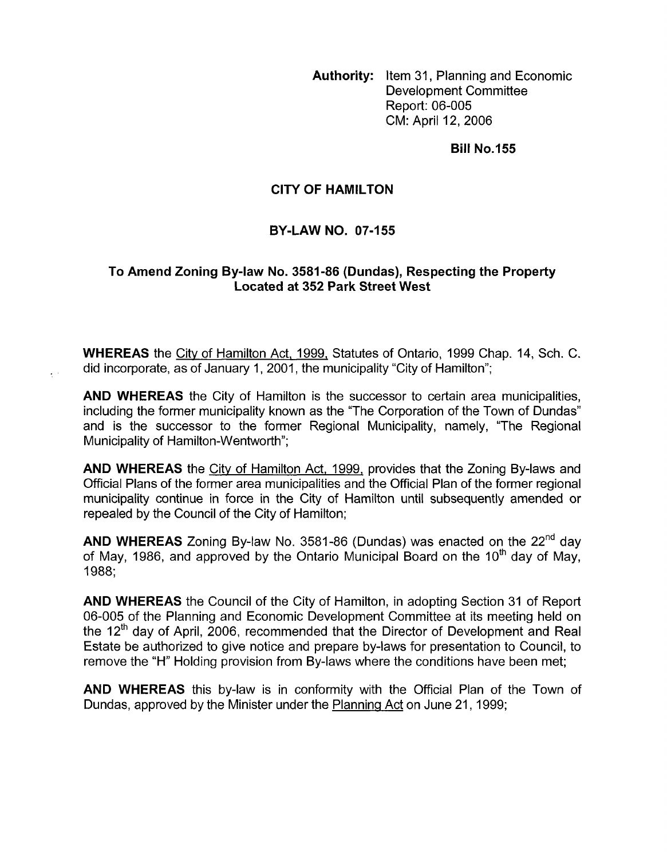**Authority:** Item 31, Planning and Economic Development Committee Report: 06-005 CM: April 12,2006

**Bill No.155** 

## **CITY OF HAMILTON**

## **BY-LAW NO. 07-155**

## **To Amend Zoning By-law No. 3581-86 (Dundas), Respecting the Property Located at 352 Park Street West**

**WHEREAS** the City of Hamilton Act, 1999, Statutes of Ontario, 1999 Chap. 14, Sch. C. did incorporate, as of January 1, 2001, the municipality "City of Hamilton";

 $\mathcal{L}^{\pm}$  .

**AND WHEREAS** the City of Hamilton is the successor to certain area municipalities, including the former municipality known as the "The Corporation of the Town of Dundas" and is the successor to the former Regional Municipality, namely, "The Regional Municipality of Hamilton-Wentworth";

**AND WHEREAS** the City of Hamilton Act, 1999, provides that the Zoning By-laws and Official Plans of the former area municipalities and the Official Plan of the former regional municipality continue in force in the City of Hamilton until subsequently amended or repealed by the Council of the City of Hamilton;

**AND WHEREAS** Zoning By-law No. 3581-86 (Dundas) was enacted on the 22<sup>nd</sup> day of May, 1986, and approved by the Ontario Municipal Board on the 10<sup>th</sup> day of May. 1988;

**AND WHEREAS** the Council of the City of Hamilton, in adopting Section 31 of Report 06-005 of the Planning and Economic Development Committee at its meeting held on the  $12<sup>th</sup>$  day of April, 2006, recommended that the Director of Development and Real Estate be authorized to give notice and prepare by-laws for presentation to Council, to remove the "H" Holding provision from By-laws where the conditions have been met;

**AND WHEREAS** this by-law is in conformity with the Official Plan of the Town of Dundas, approved by the Minister under the Planning Act on June 21, 1999;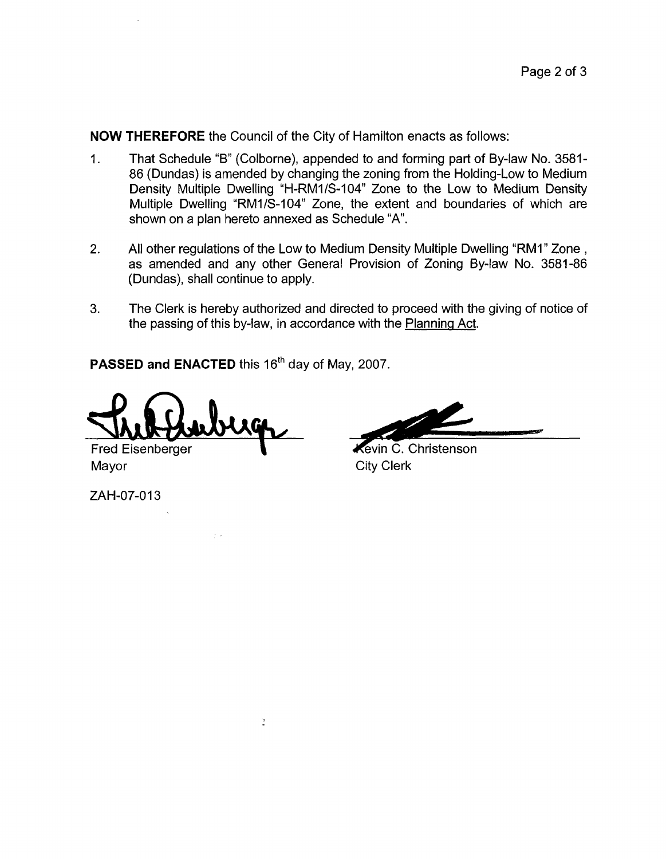**NOW THEREFORE** the Council of the City of Hamilton enacts as follows:

- 1. That Schedule "B" (Colborne), appended to and forming part of By-law No. 3581- 86 (Dundas) is amended by changing the zoning from the Holding-Low to Medium Density Multiple Dwelling "H-RMI/S-104" Zone to the Low to Medium Density Multiple Dwelling "RMI/S-104" Zone, the extent and boundaries of which are shown on a plan hereto annexed as Schedule "A".
- 2. All other regulations of the Low to Medium Density Multiple Dwelling "RMI" Zone , as amended and any other General Provision of Zoning By-law No. 3581-86 (Dundas), shall continue to apply.
- **3.** The Clerk is hereby authorized and directed to proceed with the giving of notice *of*  the passing of this by-law, in accordance with the Planning Act.

PASSED and ENACTED this 16<sup>th</sup> day of May, 2007.

 $\frac{1}{n}$ 

Fred Eisenberger Mayor City Clerk

ZAH-07-013

**Kevin C. Christenson**